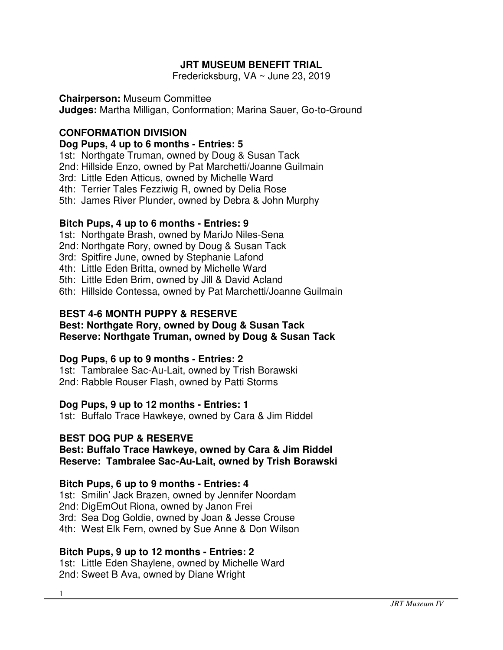# **JRT MUSEUM BENEFIT TRIAL**

Fredericksburg, VA ~ June 23, 2019

#### **Chairperson:** Museum Committee

**Judges:** Martha Milligan, Conformation; Marina Sauer, Go-to-Ground

### **CONFORMATION DIVISION**

#### **Dog Pups, 4 up to 6 months - Entries: 5**

1st: Northgate Truman, owned by Doug & Susan Tack

2nd: Hillside Enzo, owned by Pat Marchetti/Joanne Guilmain

3rd: Little Eden Atticus, owned by Michelle Ward

4th: Terrier Tales Fezziwig R, owned by Delia Rose

5th: James River Plunder, owned by Debra & John Murphy

### **Bitch Pups, 4 up to 6 months - Entries: 9**

1st: Northgate Brash, owned by MariJo Niles-Sena

2nd: Northgate Rory, owned by Doug & Susan Tack

3rd: Spitfire June, owned by Stephanie Lafond

4th: Little Eden Britta, owned by Michelle Ward

5th: Little Eden Brim, owned by Jill & David Acland

6th: Hillside Contessa, owned by Pat Marchetti/Joanne Guilmain

### **BEST 4-6 MONTH PUPPY & RESERVE**

#### **Best: Northgate Rory, owned by Doug & Susan Tack Reserve: Northgate Truman, owned by Doug & Susan Tack**

### **Dog Pups, 6 up to 9 months - Entries: 2**

1st: Tambralee Sac-Au-Lait, owned by Trish Borawski 2nd: Rabble Rouser Flash, owned by Patti Storms

### **Dog Pups, 9 up to 12 months - Entries: 1**

1st: Buffalo Trace Hawkeye, owned by Cara & Jim Riddel

### **BEST DOG PUP & RESERVE**

#### **Best: Buffalo Trace Hawkeye, owned by Cara & Jim Riddel Reserve: Tambralee Sac-Au-Lait, owned by Trish Borawski**

### **Bitch Pups, 6 up to 9 months - Entries: 4**

1st: Smilin' Jack Brazen, owned by Jennifer Noordam

2nd: DigEmOut Riona, owned by Janon Frei

3rd: Sea Dog Goldie, owned by Joan & Jesse Crouse

4th: West Elk Fern, owned by Sue Anne & Don Wilson

### **Bitch Pups, 9 up to 12 months - Entries: 2**

1st: Little Eden Shaylene, owned by Michelle Ward 2nd: Sweet B Ava, owned by Diane Wright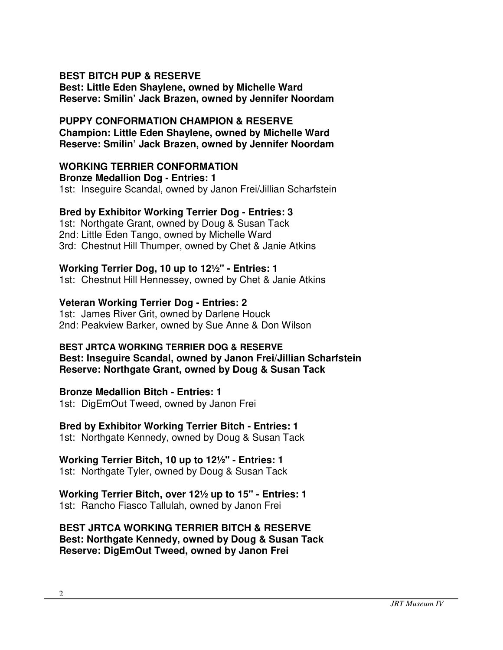### **BEST BITCH PUP & RESERVE**

**Best: Little Eden Shaylene, owned by Michelle Ward Reserve: Smilin' Jack Brazen, owned by Jennifer Noordam** 

# **PUPPY CONFORMATION CHAMPION & RESERVE Champion: Little Eden Shaylene, owned by Michelle Ward Reserve: Smilin' Jack Brazen, owned by Jennifer Noordam**

# **WORKING TERRIER CONFORMATION**

**Bronze Medallion Dog - Entries: 1** 1st: Inseguire Scandal, owned by Janon Frei/Jillian Scharfstein

### **Bred by Exhibitor Working Terrier Dog - Entries: 3**

1st: Northgate Grant, owned by Doug & Susan Tack 2nd: Little Eden Tango, owned by Michelle Ward 3rd: Chestnut Hill Thumper, owned by Chet & Janie Atkins

### **Working Terrier Dog, 10 up to 12½" - Entries: 1**

1st: Chestnut Hill Hennessey, owned by Chet & Janie Atkins

### **Veteran Working Terrier Dog - Entries: 2**

1st: James River Grit, owned by Darlene Houck 2nd: Peakview Barker, owned by Sue Anne & Don Wilson

### **BEST JRTCA WORKING TERRIER DOG & RESERVE**

**Best: Inseguire Scandal, owned by Janon Frei/Jillian Scharfstein Reserve: Northgate Grant, owned by Doug & Susan Tack** 

### **Bronze Medallion Bitch - Entries: 1**

1st: DigEmOut Tweed, owned by Janon Frei

# **Bred by Exhibitor Working Terrier Bitch - Entries: 1**

1st: Northgate Kennedy, owned by Doug & Susan Tack

### **Working Terrier Bitch, 10 up to 12½" - Entries: 1**

1st: Northgate Tyler, owned by Doug & Susan Tack

#### **Working Terrier Bitch, over 12½ up to 15" - Entries: 1** 1st: Rancho Fiasco Tallulah, owned by Janon Frei

**BEST JRTCA WORKING TERRIER BITCH & RESERVE Best: Northgate Kennedy, owned by Doug & Susan Tack Reserve: DigEmOut Tweed, owned by Janon Frei**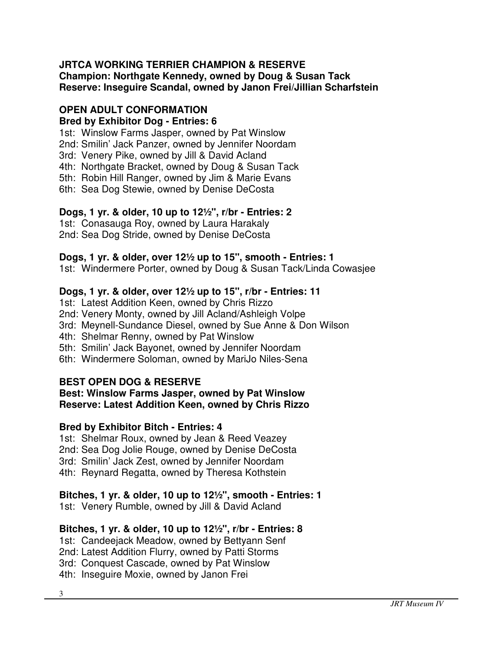# **JRTCA WORKING TERRIER CHAMPION & RESERVE Champion: Northgate Kennedy, owned by Doug & Susan Tack Reserve: Inseguire Scandal, owned by Janon Frei/Jillian Scharfstein**

# **OPEN ADULT CONFORMATION**

# **Bred by Exhibitor Dog - Entries: 6**

1st: Winslow Farms Jasper, owned by Pat Winslow

2nd: Smilin' Jack Panzer, owned by Jennifer Noordam

3rd: Venery Pike, owned by Jill & David Acland

4th: Northgate Bracket, owned by Doug & Susan Tack

5th: Robin Hill Ranger, owned by Jim & Marie Evans

6th: Sea Dog Stewie, owned by Denise DeCosta

# **Dogs, 1 yr. & older, 10 up to 12½", r/br - Entries: 2**

1st: Conasauga Roy, owned by Laura Harakaly 2nd: Sea Dog Stride, owned by Denise DeCosta

# **Dogs, 1 yr. & older, over 12½ up to 15", smooth - Entries: 1**

1st: Windermere Porter, owned by Doug & Susan Tack/Linda Cowasjee

# **Dogs, 1 yr. & older, over 12½ up to 15", r/br - Entries: 11**

1st: Latest Addition Keen, owned by Chris Rizzo

2nd: Venery Monty, owned by Jill Acland/Ashleigh Volpe

3rd: Meynell-Sundance Diesel, owned by Sue Anne & Don Wilson

4th: Shelmar Renny, owned by Pat Winslow

5th: Smilin' Jack Bayonet, owned by Jennifer Noordam

6th: Windermere Soloman, owned by MariJo Niles-Sena

# **BEST OPEN DOG & RESERVE**

### **Best: Winslow Farms Jasper, owned by Pat Winslow Reserve: Latest Addition Keen, owned by Chris Rizzo**

# **Bred by Exhibitor Bitch - Entries: 4**

1st: Shelmar Roux, owned by Jean & Reed Veazey

2nd: Sea Dog Jolie Rouge, owned by Denise DeCosta

3rd: Smilin' Jack Zest, owned by Jennifer Noordam

4th: Reynard Regatta, owned by Theresa Kothstein

# **Bitches, 1 yr. & older, 10 up to 12½", smooth - Entries: 1**

1st: Venery Rumble, owned by Jill & David Acland

# **Bitches, 1 yr. & older, 10 up to 12½", r/br - Entries: 8**

1st: Candeejack Meadow, owned by Bettyann Senf

2nd: Latest Addition Flurry, owned by Patti Storms

3rd: Conquest Cascade, owned by Pat Winslow

4th: Inseguire Moxie, owned by Janon Frei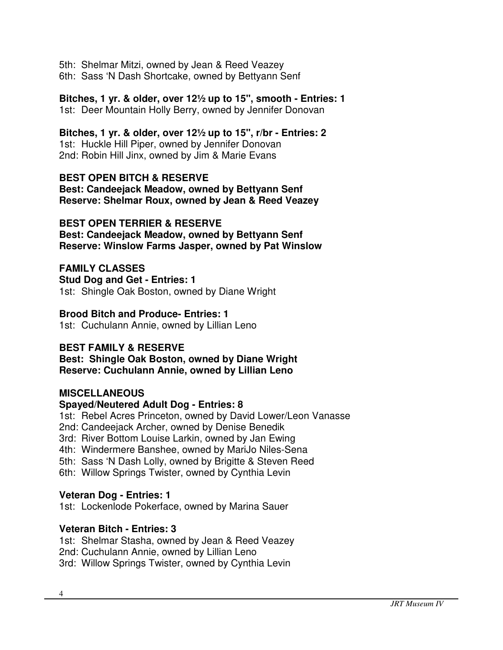5th: Shelmar Mitzi, owned by Jean & Reed Veazey 6th: Sass 'N Dash Shortcake, owned by Bettyann Senf

**Bitches, 1 yr. & older, over 12½ up to 15", smooth - Entries: 1** 1st: Deer Mountain Holly Berry, owned by Jennifer Donovan

**Bitches, 1 yr. & older, over 12½ up to 15", r/br - Entries: 2** 1st: Huckle Hill Piper, owned by Jennifer Donovan 2nd: Robin Hill Jinx, owned by Jim & Marie Evans

**BEST OPEN BITCH & RESERVE Best: Candeejack Meadow, owned by Bettyann Senf Reserve: Shelmar Roux, owned by Jean & Reed Veazey** 

# **BEST OPEN TERRIER & RESERVE**

**Best: Candeejack Meadow, owned by Bettyann Senf Reserve: Winslow Farms Jasper, owned by Pat Winslow**

# **FAMILY CLASSES**

**Stud Dog and Get - Entries: 1** 1st: Shingle Oak Boston, owned by Diane Wright

### **Brood Bitch and Produce- Entries: 1**

1st: Cuchulann Annie, owned by Lillian Leno

### **BEST FAMILY & RESERVE**

**Best: Shingle Oak Boston, owned by Diane Wright Reserve: Cuchulann Annie, owned by Lillian Leno** 

### **MISCELLANEOUS**

### **Spayed/Neutered Adult Dog - Entries: 8**

1st: Rebel Acres Princeton, owned by David Lower/Leon Vanasse

2nd: Candeejack Archer, owned by Denise Benedik

- 3rd: River Bottom Louise Larkin, owned by Jan Ewing
- 4th: Windermere Banshee, owned by MariJo Niles-Sena
- 5th: Sass 'N Dash Lolly, owned by Brigitte & Steven Reed
- 6th: Willow Springs Twister, owned by Cynthia Levin

### **Veteran Dog - Entries: 1**

1st: Lockenlode Pokerface, owned by Marina Sauer

### **Veteran Bitch - Entries: 3**

1st: Shelmar Stasha, owned by Jean & Reed Veazey 2nd: Cuchulann Annie, owned by Lillian Leno 3rd: Willow Springs Twister, owned by Cynthia Levin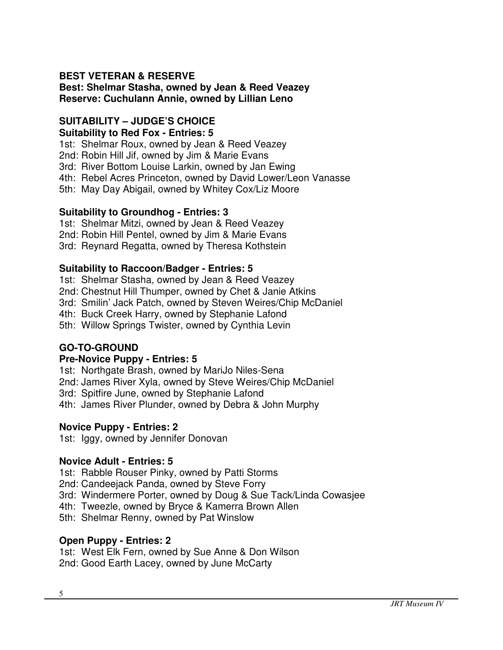# **BEST VETERAN & RESERVE**

**Best: Shelmar Stasha, owned by Jean & Reed Veazey Reserve: Cuchulann Annie, owned by Lillian Leno** 

#### **SUITABILITY – JUDGE'S CHOICE Suitability to Red Fox - Entries: 5**

1st: Shelmar Roux, owned by Jean & Reed Veazey

2nd: Robin Hill Jif, owned by Jim & Marie Evans

3rd: River Bottom Louise Larkin, owned by Jan Ewing

4th: Rebel Acres Princeton, owned by David Lower/Leon Vanasse

5th: May Day Abigail, owned by Whitey Cox/Liz Moore

### **Suitability to Groundhog - Entries: 3**

1st: Shelmar Mitzi, owned by Jean & Reed Veazey

2nd: Robin Hill Pentel, owned by Jim & Marie Evans

3rd: Reynard Regatta, owned by Theresa Kothstein

### **Suitability to Raccoon/Badger - Entries: 5**

1st: Shelmar Stasha, owned by Jean & Reed Veazey

2nd: Chestnut Hill Thumper, owned by Chet & Janie Atkins

3rd: Smilin' Jack Patch, owned by Steven Weires/Chip McDaniel

4th: Buck Creek Harry, owned by Stephanie Lafond

5th: Willow Springs Twister, owned by Cynthia Levin

### **GO-TO-GROUND**

### **Pre-Novice Puppy - Entries: 5**

1st: Northgate Brash, owned by MariJo Niles-Sena

2nd: James River Xyla, owned by Steve Weires/Chip McDaniel

3rd: Spitfire June, owned by Stephanie Lafond

4th: James River Plunder, owned by Debra & John Murphy

### **Novice Puppy - Entries: 2**

1st: Iggy, owned by Jennifer Donovan

#### **Novice Adult - Entries: 5**

1st: Rabble Rouser Pinky, owned by Patti Storms

2nd: Candeejack Panda, owned by Steve Forry

3rd: Windermere Porter, owned by Doug & Sue Tack/Linda Cowasjee

4th: Tweezle, owned by Bryce & Kamerra Brown Allen

5th: Shelmar Renny, owned by Pat Winslow

### **Open Puppy - Entries: 2**

1st: West Elk Fern, owned by Sue Anne & Don Wilson 2nd: Good Earth Lacey, owned by June McCarty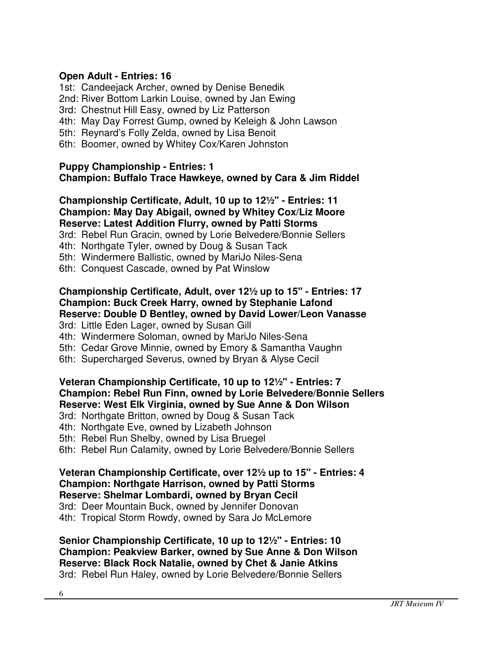# **Open Adult - Entries: 16**

1st: Candeejack Archer, owned by Denise Benedik

- 2nd: River Bottom Larkin Louise, owned by Jan Ewing
- 3rd: Chestnut Hill Easy, owned by Liz Patterson
- 4th: May Day Forrest Gump, owned by Keleigh & John Lawson
- 5th: Reynard's Folly Zelda, owned by Lisa Benoit
- 6th: Boomer, owned by Whitey Cox/Karen Johnston

### **Puppy Championship - Entries: 1 Champion: Buffalo Trace Hawkeye, owned by Cara & Jim Riddel**

### **Championship Certificate, Adult, 10 up to 12½" - Entries: 11 Champion: May Day Abigail, owned by Whitey Cox/Liz Moore Reserve: Latest Addition Flurry, owned by Patti Storms**

3rd: Rebel Run Gracin, owned by Lorie Belvedere/Bonnie Sellers

- 4th: Northgate Tyler, owned by Doug & Susan Tack
- 5th: Windermere Ballistic, owned by MariJo Niles-Sena
- 6th: Conquest Cascade, owned by Pat Winslow

### **Championship Certificate, Adult, over 12½ up to 15" - Entries: 17 Champion: Buck Creek Harry, owned by Stephanie Lafond Reserve: Double D Bentley, owned by David Lower/Leon Vanasse**

3rd: Little Eden Lager, owned by Susan Gill

4th: Windermere Soloman, owned by MariJo Niles-Sena

- 5th: Cedar Grove Minnie, owned by Emory & Samantha Vaughn
- 6th: Supercharged Severus, owned by Bryan & Alyse Cecil

# **Veteran Championship Certificate, 10 up to 12½" - Entries: 7 Champion: Rebel Run Finn, owned by Lorie Belvedere/Bonnie Sellers Reserve: West Elk Virginia, owned by Sue Anne & Don Wilson**

3rd: Northgate Britton, owned by Doug & Susan Tack

4th: Northgate Eve, owned by Lizabeth Johnson

5th: Rebel Run Shelby, owned by Lisa Bruegel

6th: Rebel Run Calamity, owned by Lorie Belvedere/Bonnie Sellers

#### **Veteran Championship Certificate, over 12½ up to 15" - Entries: 4 Champion: Northgate Harrison, owned by Patti Storms Reserve: Shelmar Lombardi, owned by Bryan Cecil**

3rd: Deer Mountain Buck, owned by Jennifer Donovan

4th: Tropical Storm Rowdy, owned by Sara Jo McLemore

#### **Senior Championship Certificate, 10 up to 12½" - Entries: 10 Champion: Peakview Barker, owned by Sue Anne & Don Wilson Reserve: Black Rock Natalie, owned by Chet & Janie Atkins**  3rd: Rebel Run Haley, owned by Lorie Belvedere/Bonnie Sellers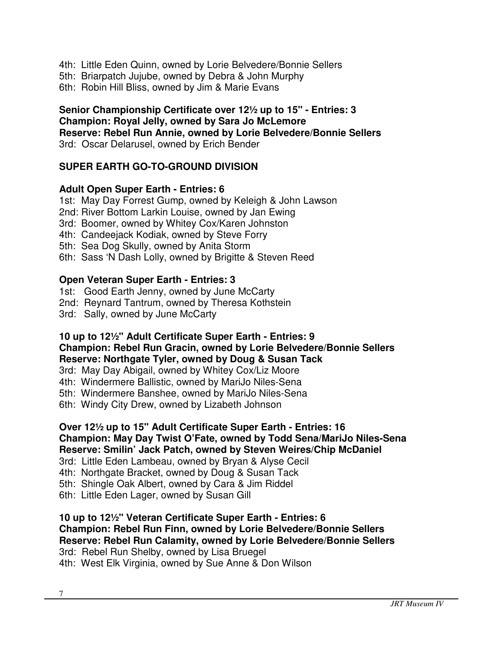- 4th: Little Eden Quinn, owned by Lorie Belvedere/Bonnie Sellers
- 5th: Briarpatch Jujube, owned by Debra & John Murphy
- 6th: Robin Hill Bliss, owned by Jim & Marie Evans

### **Senior Championship Certificate over 12½ up to 15" - Entries: 3 Champion: Royal Jelly, owned by Sara Jo McLemore Reserve: Rebel Run Annie, owned by Lorie Belvedere/Bonnie Sellers**  3rd: Oscar Delarusel, owned by Erich Bender

# **SUPER EARTH GO-TO-GROUND DIVISION**

# **Adult Open Super Earth - Entries: 6**

- 1st: May Day Forrest Gump, owned by Keleigh & John Lawson
- 2nd: River Bottom Larkin Louise, owned by Jan Ewing
- 3rd: Boomer, owned by Whitey Cox/Karen Johnston
- 4th: Candeejack Kodiak, owned by Steve Forry
- 5th: Sea Dog Skully, owned by Anita Storm
- 6th: Sass 'N Dash Lolly, owned by Brigitte & Steven Reed

# **Open Veteran Super Earth - Entries: 3**

- 1st: Good Earth Jenny, owned by June McCarty
- 2nd: Reynard Tantrum, owned by Theresa Kothstein
- 3rd: Sally, owned by June McCarty

# **10 up to 12½" Adult Certificate Super Earth - Entries: 9**

#### **Champion: Rebel Run Gracin, owned by Lorie Belvedere/Bonnie Sellers Reserve: Northgate Tyler, owned by Doug & Susan Tack**

- 3rd: May Day Abigail, owned by Whitey Cox/Liz Moore
- 4th: Windermere Ballistic, owned by MariJo Niles-Sena
- 5th: Windermere Banshee, owned by MariJo Niles-Sena
- 6th: Windy City Drew, owned by Lizabeth Johnson

# **Over 12½ up to 15" Adult Certificate Super Earth - Entries: 16 Champion: May Day Twist O'Fate, owned by Todd Sena/MariJo Niles-Sena Reserve: Smilin' Jack Patch, owned by Steven Weires/Chip McDaniel**

- 3rd: Little Eden Lambeau, owned by Bryan & Alyse Cecil
- 4th: Northgate Bracket, owned by Doug & Susan Tack
- 5th: Shingle Oak Albert, owned by Cara & Jim Riddel
- 6th: Little Eden Lager, owned by Susan Gill

#### **10 up to 12½" Veteran Certificate Super Earth - Entries: 6 Champion: Rebel Run Finn, owned by Lorie Belvedere/Bonnie Sellers Reserve: Rebel Run Calamity, owned by Lorie Belvedere/Bonnie Sellers**  3rd: Rebel Run Shelby, owned by Lisa Bruegel

4th: West Elk Virginia, owned by Sue Anne & Don Wilson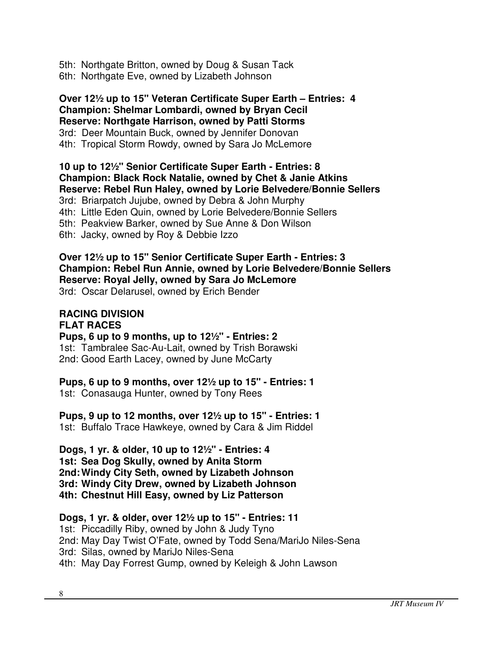5th: Northgate Britton, owned by Doug & Susan Tack 6th: Northgate Eve, owned by Lizabeth Johnson

**Over 12½ up to 15" Veteran Certificate Super Earth – Entries: 4 Champion: Shelmar Lombardi, owned by Bryan Cecil Reserve: Northgate Harrison, owned by Patti Storms**  3rd: Deer Mountain Buck, owned by Jennifer Donovan 4th: Tropical Storm Rowdy, owned by Sara Jo McLemore

**10 up to 12½" Senior Certificate Super Earth - Entries: 8 Champion: Black Rock Natalie, owned by Chet & Janie Atkins Reserve: Rebel Run Haley, owned by Lorie Belvedere/Bonnie Sellers**  3rd: Briarpatch Jujube, owned by Debra & John Murphy 4th: Little Eden Quin, owned by Lorie Belvedere/Bonnie Sellers 5th: Peakview Barker, owned by Sue Anne & Don Wilson 6th: Jacky, owned by Roy & Debbie Izzo

**Over 12½ up to 15" Senior Certificate Super Earth - Entries: 3 Champion: Rebel Run Annie, owned by Lorie Belvedere/Bonnie Sellers Reserve: Royal Jelly, owned by Sara Jo McLemore**  3rd: Oscar Delarusel, owned by Erich Bender

#### **RACING DIVISION FLAT RACES**

**Pups, 6 up to 9 months, up to 12½" - Entries: 2** 1st: Tambralee Sac-Au-Lait, owned by Trish Borawski 2nd: Good Earth Lacey, owned by June McCarty

**Pups, 6 up to 9 months, over 12½ up to 15" - Entries: 1** 

1st: Conasauga Hunter, owned by Tony Rees

**Pups, 9 up to 12 months, over 12½ up to 15" - Entries: 1**  1st: Buffalo Trace Hawkeye, owned by Cara & Jim Riddel

**Dogs, 1 yr. & older, 10 up to 12½" - Entries: 4 1st: Sea Dog Skully, owned by Anita Storm 2nd: Windy City Seth, owned by Lizabeth Johnson 3rd: Windy City Drew, owned by Lizabeth Johnson 4th: Chestnut Hill Easy, owned by Liz Patterson** 

**Dogs, 1 yr. & older, over 12½ up to 15" - Entries: 11** 1st: Piccadilly Riby, owned by John & Judy Tyno 2nd: May Day Twist O'Fate, owned by Todd Sena/MariJo Niles-Sena 3rd: Silas, owned by MariJo Niles-Sena 4th: May Day Forrest Gump, owned by Keleigh & John Lawson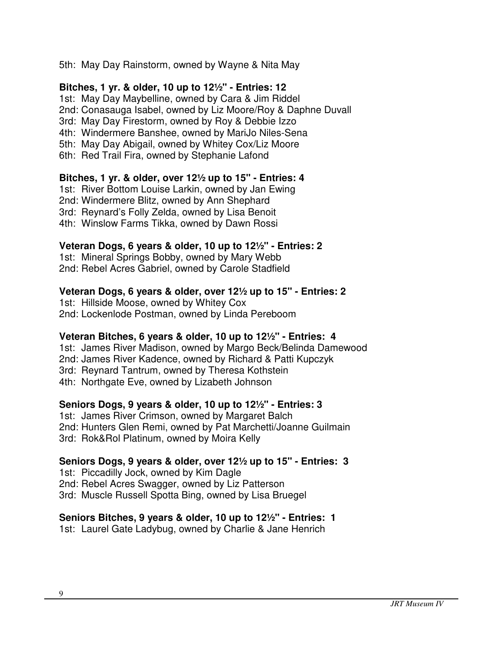### 5th: May Day Rainstorm, owned by Wayne & Nita May

### **Bitches, 1 yr. & older, 10 up to 12½" - Entries: 12**

1st: May Day Maybelline, owned by Cara & Jim Riddel

2nd: Conasauga Isabel, owned by Liz Moore/Roy & Daphne Duvall

3rd: May Day Firestorm, owned by Roy & Debbie Izzo

4th: Windermere Banshee, owned by MariJo Niles-Sena

5th: May Day Abigail, owned by Whitey Cox/Liz Moore

6th: Red Trail Fira, owned by Stephanie Lafond

# **Bitches, 1 yr. & older, over 12½ up to 15" - Entries: 4**

1st: River Bottom Louise Larkin, owned by Jan Ewing 2nd: Windermere Blitz, owned by Ann Shephard

3rd: Reynard's Folly Zelda, owned by Lisa Benoit

4th: Winslow Farms Tikka, owned by Dawn Rossi

# **Veteran Dogs, 6 years & older, 10 up to 12½" - Entries: 2**

1st: Mineral Springs Bobby, owned by Mary Webb 2nd: Rebel Acres Gabriel, owned by Carole Stadfield

# **Veteran Dogs, 6 years & older, over 12½ up to 15" - Entries: 2**

1st: Hillside Moose, owned by Whitey Cox 2nd: Lockenlode Postman, owned by Linda Pereboom

### **Veteran Bitches, 6 years & older, 10 up to 12½" - Entries: 4**

1st: James River Madison, owned by Margo Beck/Belinda Damewood 2nd: James River Kadence, owned by Richard & Patti Kupczyk 3rd: Reynard Tantrum, owned by Theresa Kothstein 4th: Northgate Eve, owned by Lizabeth Johnson

### **Seniors Dogs, 9 years & older, 10 up to 12½" - Entries: 3**

1st: James River Crimson, owned by Margaret Balch 2nd: Hunters Glen Remi, owned by Pat Marchetti/Joanne Guilmain 3rd: Rok&Rol Platinum, owned by Moira Kelly

### **Seniors Dogs, 9 years & older, over 12½ up to 15" - Entries: 3**

1st: Piccadilly Jock, owned by Kim Dagle

2nd: Rebel Acres Swagger, owned by Liz Patterson

3rd: Muscle Russell Spotta Bing, owned by Lisa Bruegel

# **Seniors Bitches, 9 years & older, 10 up to 12½" - Entries: 1**

1st: Laurel Gate Ladybug, owned by Charlie & Jane Henrich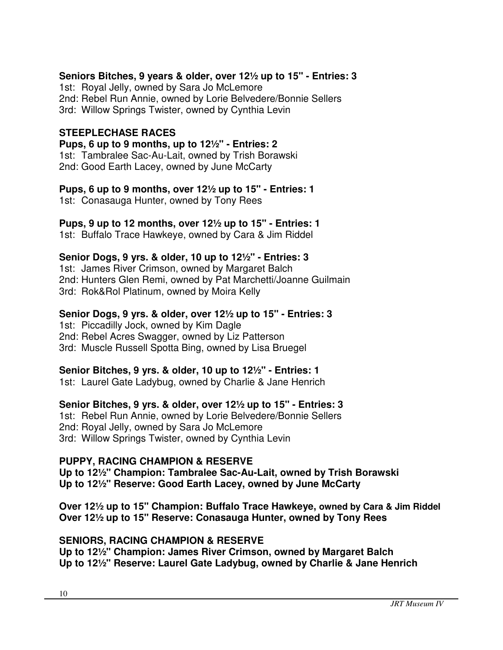# **Seniors Bitches, 9 years & older, over 12½ up to 15" - Entries: 3**

1st: Royal Jelly, owned by Sara Jo McLemore 2nd: Rebel Run Annie, owned by Lorie Belvedere/Bonnie Sellers 3rd: Willow Springs Twister, owned by Cynthia Levin

### **STEEPLECHASE RACES**

**Pups, 6 up to 9 months, up to 12½" - Entries: 2** 1st: Tambralee Sac-Au-Lait, owned by Trish Borawski 2nd: Good Earth Lacey, owned by June McCarty

**Pups, 6 up to 9 months, over 12½ up to 15" - Entries: 1** 1st: Conasauga Hunter, owned by Tony Rees

# **Pups, 9 up to 12 months, over 12½ up to 15" - Entries: 1**

1st: Buffalo Trace Hawkeye, owned by Cara & Jim Riddel

**Senior Dogs, 9 yrs. & older, 10 up to 12½" - Entries: 3**

1st: James River Crimson, owned by Margaret Balch 2nd: Hunters Glen Remi, owned by Pat Marchetti/Joanne Guilmain 3rd: Rok&Rol Platinum, owned by Moira Kelly

# **Senior Dogs, 9 yrs. & older, over 12½ up to 15" - Entries: 3**

1st: Piccadilly Jock, owned by Kim Dagle 2nd: Rebel Acres Swagger, owned by Liz Patterson 3rd: Muscle Russell Spotta Bing, owned by Lisa Bruegel

### **Senior Bitches, 9 yrs. & older, 10 up to 12½" - Entries: 1**

1st: Laurel Gate Ladybug, owned by Charlie & Jane Henrich

# **Senior Bitches, 9 yrs. & older, over 12½ up to 15" - Entries: 3**

1st: Rebel Run Annie, owned by Lorie Belvedere/Bonnie Sellers 2nd: Royal Jelly, owned by Sara Jo McLemore 3rd: Willow Springs Twister, owned by Cynthia Levin

### **PUPPY, RACING CHAMPION & RESERVE**

**Up to 12½" Champion: Tambralee Sac-Au-Lait, owned by Trish Borawski Up to 12½" Reserve: Good Earth Lacey, owned by June McCarty** 

**Over 12½ up to 15" Champion: Buffalo Trace Hawkeye, owned by Cara & Jim Riddel Over 12½ up to 15" Reserve: Conasauga Hunter, owned by Tony Rees** 

### **SENIORS, RACING CHAMPION & RESERVE**

**Up to 12½" Champion: James River Crimson, owned by Margaret Balch Up to 12½" Reserve: Laurel Gate Ladybug, owned by Charlie & Jane Henrich**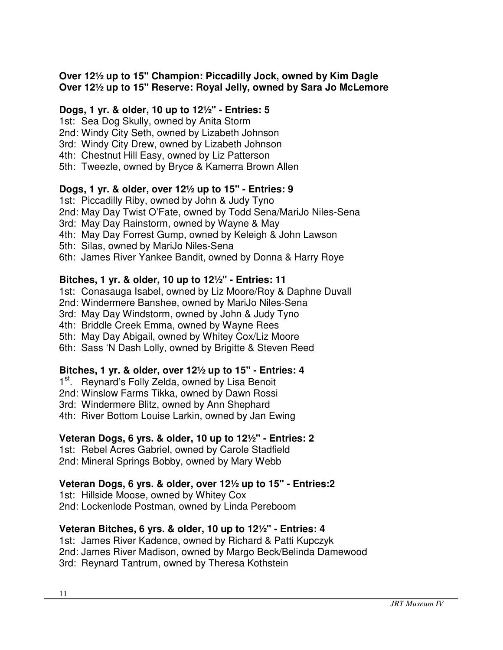# **Over 12½ up to 15" Champion: Piccadilly Jock, owned by Kim Dagle Over 12½ up to 15" Reserve: Royal Jelly, owned by Sara Jo McLemore**

# **Dogs, 1 yr. & older, 10 up to 12½" - Entries: 5**

1st: Sea Dog Skully, owned by Anita Storm

- 2nd: Windy City Seth, owned by Lizabeth Johnson
- 3rd: Windy City Drew, owned by Lizabeth Johnson
- 4th: Chestnut Hill Easy, owned by Liz Patterson
- 5th: Tweezle, owned by Bryce & Kamerra Brown Allen

# **Dogs, 1 yr. & older, over 12½ up to 15" - Entries: 9**

1st: Piccadilly Riby, owned by John & Judy Tyno

- 2nd: May Day Twist O'Fate, owned by Todd Sena/MariJo Niles-Sena
- 3rd: May Day Rainstorm, owned by Wayne & May
- 4th: May Day Forrest Gump, owned by Keleigh & John Lawson
- 5th: Silas, owned by MariJo Niles-Sena
- 6th: James River Yankee Bandit, owned by Donna & Harry Roye

# **Bitches, 1 yr. & older, 10 up to 12½" - Entries: 11**

1st: Conasauga Isabel, owned by Liz Moore/Roy & Daphne Duvall

2nd: Windermere Banshee, owned by MariJo Niles-Sena

3rd: May Day Windstorm, owned by John & Judy Tyno

4th: Briddle Creek Emma, owned by Wayne Rees

5th: May Day Abigail, owned by Whitey Cox/Liz Moore

6th: Sass 'N Dash Lolly, owned by Brigitte & Steven Reed

# **Bitches, 1 yr. & older, over 12½ up to 15" - Entries: 4**

1<sup>st</sup>. Reynard's Folly Zelda, owned by Lisa Benoit

2nd: Winslow Farms Tikka, owned by Dawn Rossi

3rd: Windermere Blitz, owned by Ann Shephard

4th: River Bottom Louise Larkin, owned by Jan Ewing

# **Veteran Dogs, 6 yrs. & older, 10 up to 12½" - Entries: 2**

1st: Rebel Acres Gabriel, owned by Carole Stadfield 2nd: Mineral Springs Bobby, owned by Mary Webb

# **Veteran Dogs, 6 yrs. & older, over 12½ up to 15" - Entries:2**

1st: Hillside Moose, owned by Whitey Cox 2nd: Lockenlode Postman, owned by Linda Pereboom

# **Veteran Bitches, 6 yrs. & older, 10 up to 12½" - Entries: 4**

1st: James River Kadence, owned by Richard & Patti Kupczyk 2nd: James River Madison, owned by Margo Beck/Belinda Damewood 3rd: Reynard Tantrum, owned by Theresa Kothstein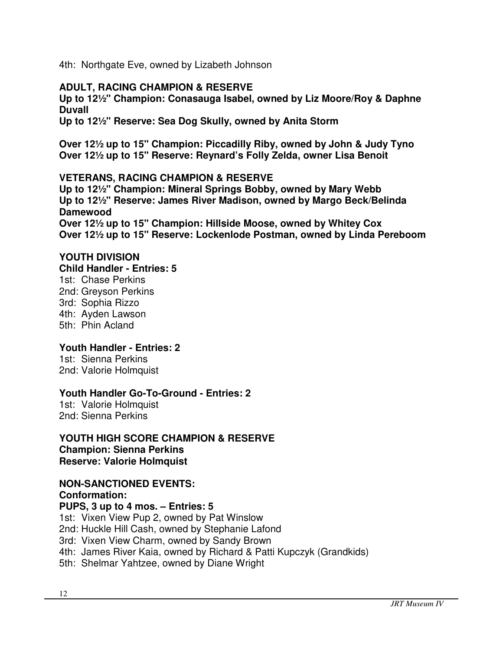4th: Northgate Eve, owned by Lizabeth Johnson

# **ADULT, RACING CHAMPION & RESERVE**

**Up to 12½" Champion: Conasauga Isabel, owned by Liz Moore/Roy & Daphne Duvall** 

**Up to 12½" Reserve: Sea Dog Skully, owned by Anita Storm** 

**Over 12½ up to 15" Champion: Piccadilly Riby, owned by John & Judy Tyno Over 12½ up to 15" Reserve: Reynard's Folly Zelda, owner Lisa Benoit** 

### **VETERANS, RACING CHAMPION & RESERVE**

**Up to 12½" Champion: Mineral Springs Bobby, owned by Mary Webb Up to 12½" Reserve: James River Madison, owned by Margo Beck/Belinda Damewood Over 12½ up to 15" Champion: Hillside Moose, owned by Whitey Cox** 

**Over 12½ up to 15" Reserve: Lockenlode Postman, owned by Linda Pereboom** 

### **YOUTH DIVISION**

**Child Handler - Entries: 5**

1st: Chase Perkins 2nd: Greyson Perkins 3rd: Sophia Rizzo 4th: Ayden Lawson 5th: Phin Acland

### **Youth Handler - Entries: 2**

1st: Sienna Perkins 2nd: Valorie Holmquist

#### **Youth Handler Go-To-Ground - Entries: 2**

1st: Valorie Holmquist 2nd: Sienna Perkins

#### **YOUTH HIGH SCORE CHAMPION & RESERVE Champion: Sienna Perkins Reserve: Valorie Holmquist**

# **NON-SANCTIONED EVENTS:**

**Conformation: PUPS, 3 up to 4 mos. – Entries: 5**  1st: Vixen View Pup 2, owned by Pat Winslow 2nd: Huckle Hill Cash, owned by Stephanie Lafond 3rd: Vixen View Charm, owned by Sandy Brown 4th: James River Kaia, owned by Richard & Patti Kupczyk (Grandkids) 5th: Shelmar Yahtzee, owned by Diane Wright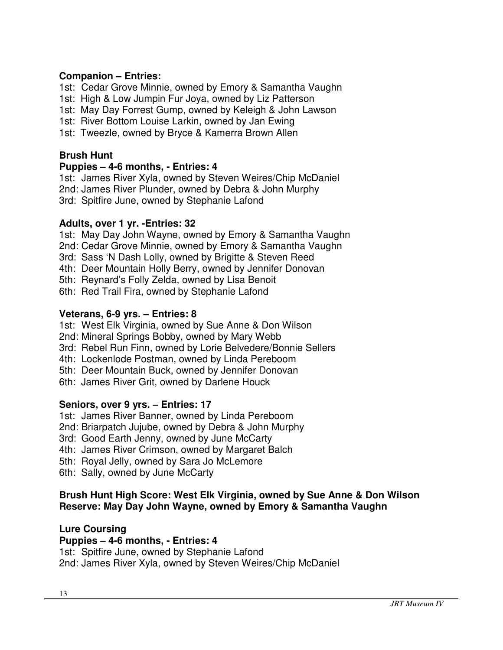# **Companion – Entries:**

1st: Cedar Grove Minnie, owned by Emory & Samantha Vaughn

- 1st: High & Low Jumpin Fur Joya, owned by Liz Patterson
- 1st: May Day Forrest Gump, owned by Keleigh & John Lawson
- 1st: River Bottom Louise Larkin, owned by Jan Ewing
- 1st: Tweezle, owned by Bryce & Kamerra Brown Allen

# **Brush Hunt**

# **Puppies – 4-6 months, - Entries: 4**

1st: James River Xyla, owned by Steven Weires/Chip McDaniel 2nd: James River Plunder, owned by Debra & John Murphy 3rd: Spitfire June, owned by Stephanie Lafond

# **Adults, over 1 yr. -Entries: 32**

- 1st: May Day John Wayne, owned by Emory & Samantha Vaughn
- 2nd: Cedar Grove Minnie, owned by Emory & Samantha Vaughn
- 3rd: Sass 'N Dash Lolly, owned by Brigitte & Steven Reed
- 4th: Deer Mountain Holly Berry, owned by Jennifer Donovan
- 5th: Reynard's Folly Zelda, owned by Lisa Benoit
- 6th: Red Trail Fira, owned by Stephanie Lafond

# **Veterans, 6-9 yrs. – Entries: 8**

- 1st: West Elk Virginia, owned by Sue Anne & Don Wilson
- 2nd: Mineral Springs Bobby, owned by Mary Webb
- 3rd: Rebel Run Finn, owned by Lorie Belvedere/Bonnie Sellers
- 4th: Lockenlode Postman, owned by Linda Pereboom
- 5th: Deer Mountain Buck, owned by Jennifer Donovan
- 6th: James River Grit, owned by Darlene Houck

### **Seniors, over 9 yrs. – Entries: 17**

- 1st: James River Banner, owned by Linda Pereboom
- 2nd: Briarpatch Jujube, owned by Debra & John Murphy
- 3rd: Good Earth Jenny, owned by June McCarty
- 4th: James River Crimson, owned by Margaret Balch
- 5th: Royal Jelly, owned by Sara Jo McLemore
- 6th: Sally, owned by June McCarty

# **Brush Hunt High Score: West Elk Virginia, owned by Sue Anne & Don Wilson Reserve: May Day John Wayne, owned by Emory & Samantha Vaughn**

### **Lure Coursing**

# **Puppies – 4-6 months, - Entries: 4**

1st: Spitfire June, owned by Stephanie Lafond

2nd: James River Xyla, owned by Steven Weires/Chip McDaniel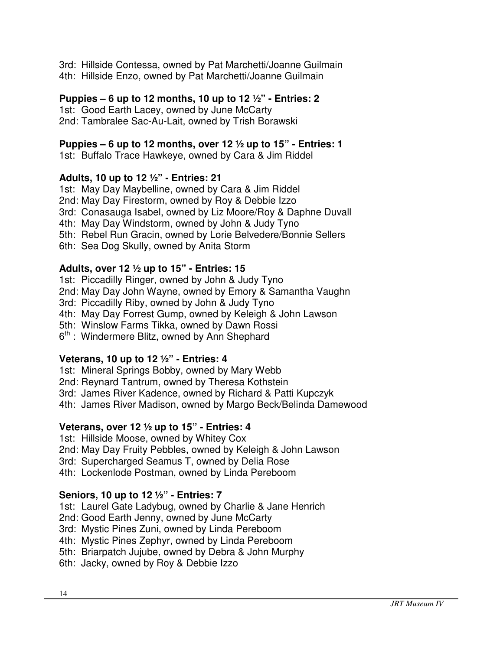3rd: Hillside Contessa, owned by Pat Marchetti/Joanne Guilmain 4th: Hillside Enzo, owned by Pat Marchetti/Joanne Guilmain

# **Puppies – 6 up to 12 months, 10 up to 12 ½" - Entries: 2**

1st: Good Earth Lacey, owned by June McCarty 2nd: Tambralee Sac-Au-Lait, owned by Trish Borawski

# **Puppies – 6 up to 12 months, over 12 ½ up to 15" - Entries: 1**

1st: Buffalo Trace Hawkeye, owned by Cara & Jim Riddel

# **Adults, 10 up to 12 ½" - Entries: 21**

1st: May Day Maybelline, owned by Cara & Jim Riddel

2nd: May Day Firestorm, owned by Roy & Debbie Izzo

3rd: Conasauga Isabel, owned by Liz Moore/Roy & Daphne Duvall

4th: May Day Windstorm, owned by John & Judy Tyno

- 5th: Rebel Run Gracin, owned by Lorie Belvedere/Bonnie Sellers
- 6th: Sea Dog Skully, owned by Anita Storm

# **Adults, over 12 ½ up to 15" - Entries: 15**

1st: Piccadilly Ringer, owned by John & Judy Tyno

2nd: May Day John Wayne, owned by Emory & Samantha Vaughn

3rd: Piccadilly Riby, owned by John & Judy Tyno

4th: May Day Forrest Gump, owned by Keleigh & John Lawson

5th: Winslow Farms Tikka, owned by Dawn Rossi

 $6<sup>th</sup>$ : Windermere Blitz, owned by Ann Shephard

# **Veterans, 10 up to 12 ½" - Entries: 4**

- 1st: Mineral Springs Bobby, owned by Mary Webb
- 2nd: Reynard Tantrum, owned by Theresa Kothstein
- 3rd: James River Kadence, owned by Richard & Patti Kupczyk
- 4th: James River Madison, owned by Margo Beck/Belinda Damewood

### **Veterans, over 12 ½ up to 15" - Entries: 4**

- 1st: Hillside Moose, owned by Whitey Cox
- 2nd: May Day Fruity Pebbles, owned by Keleigh & John Lawson
- 3rd: Supercharged Seamus T, owned by Delia Rose
- 4th: Lockenlode Postman, owned by Linda Pereboom

# **Seniors, 10 up to 12 ½" - Entries: 7**

- 1st: Laurel Gate Ladybug, owned by Charlie & Jane Henrich
- 2nd: Good Earth Jenny, owned by June McCarty
- 3rd: Mystic Pines Zuni, owned by Linda Pereboom
- 4th: Mystic Pines Zephyr, owned by Linda Pereboom
- 5th: Briarpatch Jujube, owned by Debra & John Murphy
- 6th: Jacky, owned by Roy & Debbie Izzo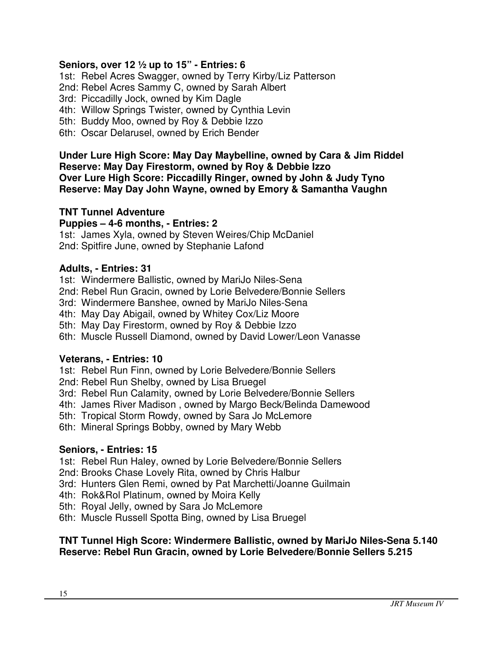### **Seniors, over 12 ½ up to 15" - Entries: 6**

1st: Rebel Acres Swagger, owned by Terry Kirby/Liz Patterson

2nd: Rebel Acres Sammy C, owned by Sarah Albert

3rd: Piccadilly Jock, owned by Kim Dagle

4th: Willow Springs Twister, owned by Cynthia Levin

5th: Buddy Moo, owned by Roy & Debbie Izzo

6th: Oscar Delarusel, owned by Erich Bender

**Under Lure High Score: May Day Maybelline, owned by Cara & Jim Riddel Reserve: May Day Firestorm, owned by Roy & Debbie Izzo Over Lure High Score: Piccadilly Ringer, owned by John & Judy Tyno Reserve: May Day John Wayne, owned by Emory & Samantha Vaughn** 

#### **TNT Tunnel Adventure**

#### **Puppies – 4-6 months, - Entries: 2**

1st: James Xyla, owned by Steven Weires/Chip McDaniel 2nd: Spitfire June, owned by Stephanie Lafond

#### **Adults, - Entries: 31**

1st: Windermere Ballistic, owned by MariJo Niles-Sena

2nd: Rebel Run Gracin, owned by Lorie Belvedere/Bonnie Sellers

3rd: Windermere Banshee, owned by MariJo Niles-Sena

4th: May Day Abigail, owned by Whitey Cox/Liz Moore

5th: May Day Firestorm, owned by Roy & Debbie Izzo

6th: Muscle Russell Diamond, owned by David Lower/Leon Vanasse

### **Veterans, - Entries: 10**

1st: Rebel Run Finn, owned by Lorie Belvedere/Bonnie Sellers

2nd: Rebel Run Shelby, owned by Lisa Bruegel

3rd: Rebel Run Calamity, owned by Lorie Belvedere/Bonnie Sellers

4th: James River Madison , owned by Margo Beck/Belinda Damewood

5th: Tropical Storm Rowdy, owned by Sara Jo McLemore

6th: Mineral Springs Bobby, owned by Mary Webb

#### **Seniors, - Entries: 15**

1st: Rebel Run Haley, owned by Lorie Belvedere/Bonnie Sellers

2nd: Brooks Chase Lovely Rita, owned by Chris Halbur

3rd: Hunters Glen Remi, owned by Pat Marchetti/Joanne Guilmain

4th: Rok&Rol Platinum, owned by Moira Kelly

5th: Royal Jelly, owned by Sara Jo McLemore

6th: Muscle Russell Spotta Bing, owned by Lisa Bruegel

### **TNT Tunnel High Score: Windermere Ballistic, owned by MariJo Niles-Sena 5.140 Reserve: Rebel Run Gracin, owned by Lorie Belvedere/Bonnie Sellers 5.215**